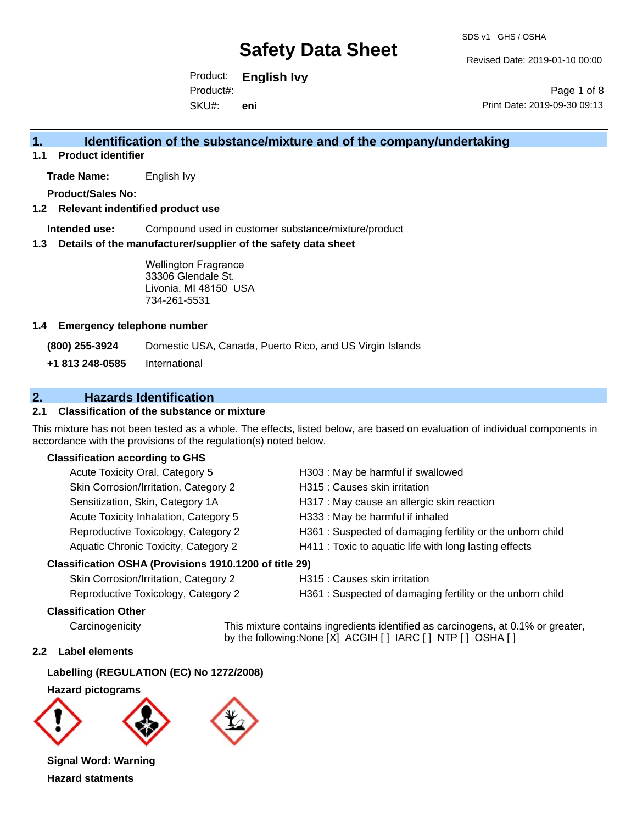Revised Date: 2019-01-10 00:00

Product: **English Ivy** SKU#: Product#: **eni**

Page 1 of 8 Print Date: 2019-09-30 09:13

### **1. Identification of the substance/mixture and of the company/undertaking**

**1.1 Product identifier**

**Trade Name:** English Ivy

**Product/Sales No:**

#### **1.2 Relevant indentified product use**

**Intended use:** Compound used in customer substance/mixture/product

#### **1.3 Details of the manufacturer/supplier of the safety data sheet**

Wellington Fragrance 33306 Glendale St. Livonia, MI 48150 USA 734-261-5531

#### **1.4 Emergency telephone number**

**(800) 255-3924** Domestic USA, Canada, Puerto Rico, and US Virgin Islands

**+1 813 248-0585** International

### **2. Hazards Identification**

#### **2.1 Classification of the substance or mixture**

This mixture has not been tested as a whole. The effects, listed below, are based on evaluation of individual components in accordance with the provisions of the regulation(s) noted below.

#### **Classification according to GHS**

| Acute Toxicity Oral, Category 5                      | H303 : May be harmful if swallowed                        |
|------------------------------------------------------|-----------------------------------------------------------|
| Skin Corrosion/Irritation, Category 2                | H315 : Causes skin irritation                             |
| Sensitization, Skin, Category 1A                     | H317 : May cause an allergic skin reaction                |
| Acute Toxicity Inhalation, Category 5                | H333: May be harmful if inhaled                           |
| Reproductive Toxicology, Category 2                  | H361: Suspected of damaging fertility or the unborn child |
| Aquatic Chronic Toxicity, Category 2                 | H411: Toxic to aquatic life with long lasting effects     |
| assification OSHA (Provisions 1910.1200 of title 29) |                                                           |

#### **Classification OSHA (Provisions 1910.1200 of title 29)**

Skin Corrosion/Irritation, Category 2 H315 : Causes skin irritation

Reproductive Toxicology, Category 2 H361 : Suspected of damaging fertility or the unborn child

#### **Classification Other**

Carcinogenicity This mixture contains ingredients identified as carcinogens, at 0.1% or greater, by the following:None [X] ACGIH [ ] IARC [ ] NTP [ ] OSHA [ ]

#### **2.2 Label elements**

### **Labelling (REGULATION (EC) No 1272/2008)**

#### **Hazard pictograms**





**Signal Word: Warning Hazard statments**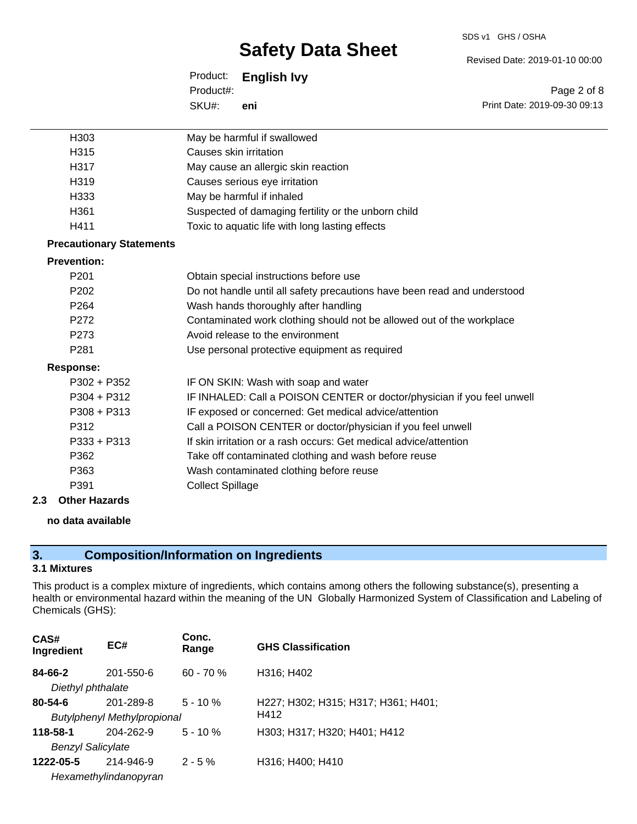#### SDS v1 GHS / OSHA

# **Safety Data Sheet**

Product: **English Ivy** SKU#: Product#: **eni**

|                      | SKU#:<br>eni                                                      | Print Date: 2019-09-30 09:13                                             |
|----------------------|-------------------------------------------------------------------|--------------------------------------------------------------------------|
| H <sub>303</sub>     | May be harmful if swallowed                                       |                                                                          |
| H315                 | Causes skin irritation                                            |                                                                          |
| H317                 | May cause an allergic skin reaction                               |                                                                          |
| H319                 | Causes serious eye irritation                                     |                                                                          |
| H333                 | May be harmful if inhaled                                         |                                                                          |
| H361                 | Suspected of damaging fertility or the unborn child               |                                                                          |
| H411                 | Toxic to aquatic life with long lasting effects                   |                                                                          |
|                      | <b>Precautionary Statements</b>                                   |                                                                          |
| <b>Prevention:</b>   |                                                                   |                                                                          |
| P <sub>201</sub>     | Obtain special instructions before use                            |                                                                          |
| P202                 |                                                                   | Do not handle until all safety precautions have been read and understood |
| P <sub>264</sub>     | Wash hands thoroughly after handling                              |                                                                          |
| P272                 |                                                                   | Contaminated work clothing should not be allowed out of the workplace    |
| P273                 | Avoid release to the environment                                  |                                                                          |
| P281                 | Use personal protective equipment as required                     |                                                                          |
| <b>Response:</b>     |                                                                   |                                                                          |
| $P302 + P352$        | IF ON SKIN: Wash with soap and water                              |                                                                          |
| $P304 + P312$        |                                                                   | IF INHALED: Call a POISON CENTER or doctor/physician if you feel unwell  |
| $P308 + P313$        | IF exposed or concerned: Get medical advice/attention             |                                                                          |
| P312                 | Call a POISON CENTER or doctor/physician if you feel unwell       |                                                                          |
| P333 + P313          | If skin irritation or a rash occurs: Get medical advice/attention |                                                                          |
| P362                 | Take off contaminated clothing and wash before reuse              |                                                                          |
| P363                 | Wash contaminated clothing before reuse                           |                                                                          |
| P391                 | <b>Collect Spillage</b>                                           |                                                                          |
| <b>Other Hazards</b> |                                                                   |                                                                          |
| no data available    |                                                                   |                                                                          |

### **3. Composition/Information on Ingredients**

#### **3.1 Mixtures**

**2.3 Other Hazards**

This product is a complex mixture of ingredients, which contains among others the following substance(s), presenting a health or environmental hazard within the meaning of the UN Globally Harmonized System of Classification and Labeling of Chemicals (GHS):

| CAS#<br>Ingredient       | EC#                                | Conc.<br>Range | <b>GHS Classification</b>           |
|--------------------------|------------------------------------|----------------|-------------------------------------|
| 84-66-2                  | 201-550-6                          | $60 - 70%$     | H316; H402                          |
| Diethyl phthalate        |                                    |                |                                     |
| $80 - 54 - 6$            | 201-289-8                          | $5 - 10 \%$    | H227; H302; H315; H317; H361; H401; |
|                          | <b>Butylphenyl Methylpropional</b> |                | H412                                |
| 118-58-1                 | 204-262-9                          | $5 - 10 \%$    | H303; H317; H320; H401; H412        |
| <b>Benzyl Salicylate</b> |                                    |                |                                     |
| 1222-05-5                | 214-946-9                          | $2 - 5 \%$     | H316; H400; H410                    |
|                          | Hexamethylindanopyran              |                |                                     |

Revised Date: 2019-01-10 00:00

Page 2 of 8 Print Date: 2019-09-30 09:13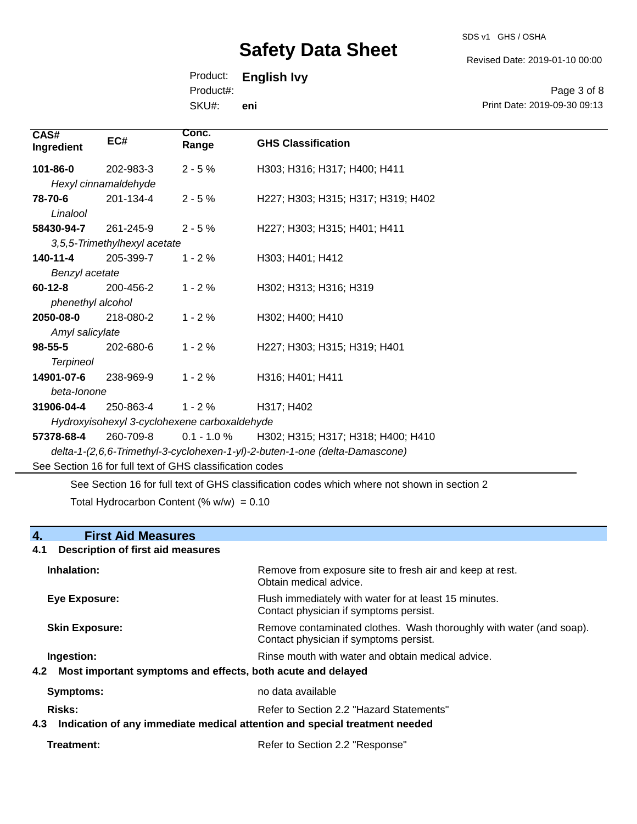SDS v1 GHS / OSHA

Revised Date: 2019-01-10 00:00

Print Date: 2019-09-30 09:13

Page 3 of 8

Product: **English Ivy**

Product#:

SKU#: **eni**

| CAS#<br>Ingredient                                       | EC#                          | Conc.<br>Range | <b>GHS Classification</b>                                                   |
|----------------------------------------------------------|------------------------------|----------------|-----------------------------------------------------------------------------|
| 101-86-0                                                 | 202-983-3                    | $2 - 5%$       | H303; H316; H317; H400; H411                                                |
|                                                          | Hexyl cinnamaldehyde         |                |                                                                             |
| 78-70-6                                                  | 201-134-4                    | $2 - 5%$       | H227; H303; H315; H317; H319; H402                                          |
| Linalool                                                 |                              |                |                                                                             |
| 58430-94-7                                               | 261-245-9                    | $2 - 5%$       | H227; H303; H315; H401; H411                                                |
|                                                          | 3,5,5-Trimethylhexyl acetate |                |                                                                             |
| 140-11-4                                                 | 205-399-7                    | $1 - 2%$       | H303; H401; H412                                                            |
| Benzyl acetate                                           |                              |                |                                                                             |
| $60-12-8$                                                | 200-456-2                    | $1 - 2%$       | H302; H313; H316; H319                                                      |
| phenethyl alcohol                                        |                              |                |                                                                             |
| 2050-08-0                                                | 218-080-2                    | $1 - 2%$       | H302; H400; H410                                                            |
| Amyl salicylate                                          |                              |                |                                                                             |
| $98 - 55 - 5$                                            | 202-680-6                    | $1 - 2%$       | H227; H303; H315; H319; H401                                                |
| <b>Terpineol</b>                                         |                              |                |                                                                             |
| 14901-07-6                                               | 238-969-9                    | $1 - 2%$       | H316; H401; H411                                                            |
| beta-lonone                                              |                              |                |                                                                             |
| 31906-04-4                                               | 250-863-4                    | $1 - 2%$       | H317; H402                                                                  |
| Hydroxyisohexyl 3-cyclohexene carboxaldehyde             |                              |                |                                                                             |
| 57378-68-4                                               | 260-709-8                    | $0.1 - 1.0 \%$ | H302; H315; H317; H318; H400; H410                                          |
|                                                          |                              |                | delta-1-(2,6,6-Trimethyl-3-cyclohexen-1-yl)-2-buten-1-one (delta-Damascone) |
| See Section 16 for full text of GHS classification codes |                              |                |                                                                             |
|                                                          |                              |                |                                                                             |

See Section 16 for full text of GHS classification codes which where not shown in section 2 Total Hydrocarbon Content (%  $w/w$ ) = 0.10

#### **4. First Aid Measures**

# **4.1 Description of first aid measures Inhalation:** Remove from exposure site to fresh air and keep at rest. Obtain medical advice. **Eye Exposure:** FIUSh immediately with water for at least 15 minutes. Contact physician if symptoms persist. **Skin Exposure: Remove contaminated clothes. Wash thoroughly with water (and soap).** Remove contaminated clothes. Wash thoroughly with water (and soap). Contact physician if symptoms persist. **Ingestion: Rinse mouth with water and obtain medical advice. In all of the state of the Rinse mouth with water and obtain medical advice. 4.2 Most important symptoms and effects, both acute and delayed Symptoms:** no data available Risks: **Risks:** Refer to Section 2.2 "Hazard Statements" **4.3 Indication of any immediate medical attention and special treatment needed**

**Treatment:** Refer to Section 2.2 "Response"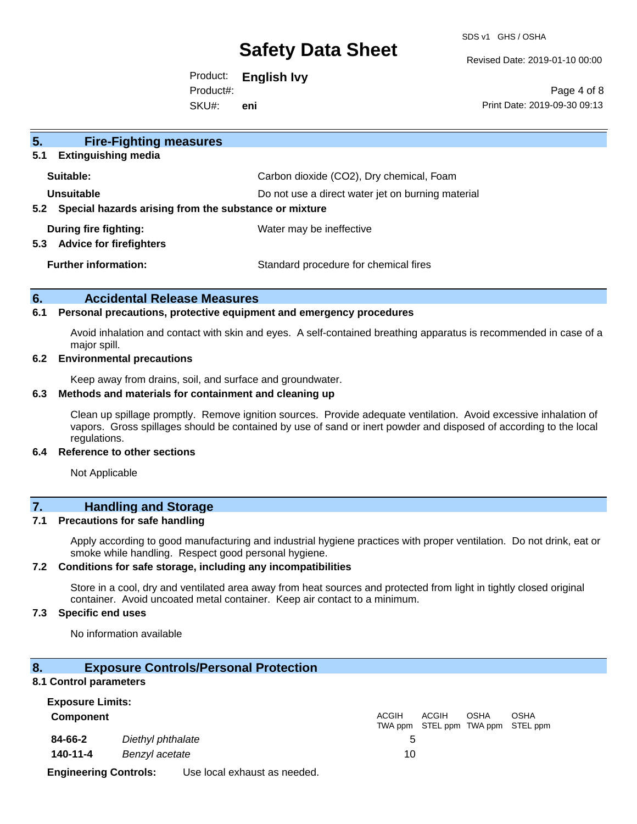SDS v1 GHS / OSHA

Revised Date: 2019-01-10 00:00

Product: **English Ivy** SKU#: Product#: **eni**

Page 4 of 8 Print Date: 2019-09-30 09:13

| 5.<br><b>Fire-Fighting measures</b>                                                        |                                          |
|--------------------------------------------------------------------------------------------|------------------------------------------|
| <b>Extinguishing media</b><br>5.1                                                          |                                          |
| Suitable:                                                                                  | Carbon dioxide (CO2), Dry chemical, Foam |
| Unsuitable<br>Do not use a direct water jet on burning material                            |                                          |
| 5.2 Special hazards arising from the substance or mixture                                  |                                          |
| During fire fighting:<br>Water may be ineffective<br><b>Advice for firefighters</b><br>5.3 |                                          |
| <b>Further information:</b>                                                                | Standard procedure for chemical fires    |

#### **6. Accidental Release Measures**

#### **6.1 Personal precautions, protective equipment and emergency procedures**

Avoid inhalation and contact with skin and eyes. A self-contained breathing apparatus is recommended in case of a major spill.

#### **6.2 Environmental precautions**

Keep away from drains, soil, and surface and groundwater.

#### **6.3 Methods and materials for containment and cleaning up**

Clean up spillage promptly. Remove ignition sources. Provide adequate ventilation. Avoid excessive inhalation of vapors. Gross spillages should be contained by use of sand or inert powder and disposed of according to the local regulations.

#### **6.4 Reference to other sections**

Not Applicable

### **7. Handling and Storage**

#### **7.1 Precautions for safe handling**

Apply according to good manufacturing and industrial hygiene practices with proper ventilation. Do not drink, eat or smoke while handling. Respect good personal hygiene.

#### **7.2 Conditions for safe storage, including any incompatibilities**

Store in a cool, dry and ventilated area away from heat sources and protected from light in tightly closed original container. Avoid uncoated metal container. Keep air contact to a minimum.

#### **7.3 Specific end uses**

No information available

#### **8. Exposure Controls/Personal Protection**

#### **8.1 Control parameters**

| <b>Exposure Limits:</b>      |                   |                              |              |       |             |                                                  |
|------------------------------|-------------------|------------------------------|--------------|-------|-------------|--------------------------------------------------|
| <b>Component</b>             |                   |                              | <b>ACGIH</b> | ACGIH | <b>OSHA</b> | <b>OSHA</b><br>TWA ppm STEL ppm TWA ppm STEL ppm |
| 84-66-2                      | Diethyl phthalate |                              |              |       |             |                                                  |
| 140-11-4                     | Benzyl acetate    |                              | 10           |       |             |                                                  |
| <b>Engineering Controls:</b> |                   | Use local exhaust as needed. |              |       |             |                                                  |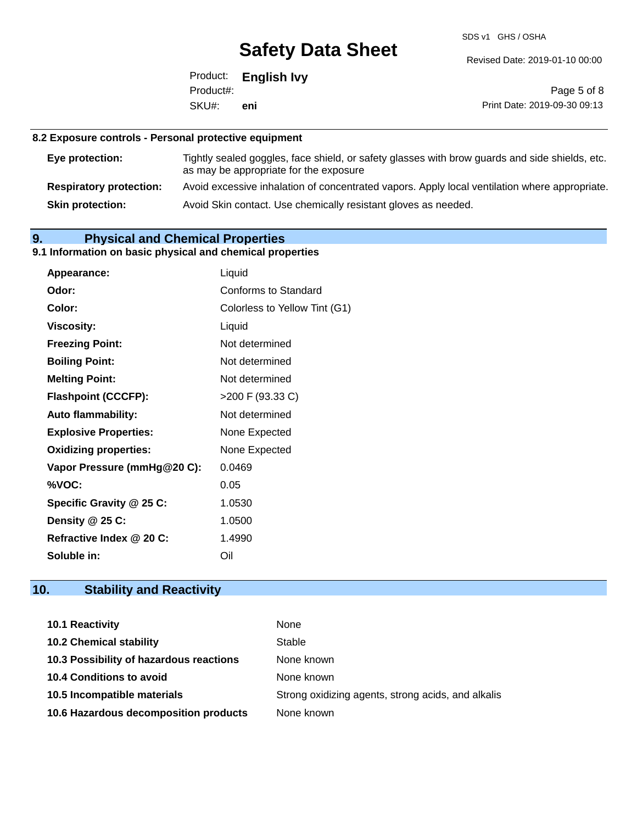SDS v1 GHS / OSHA

Revised Date: 2019-01-10 00:00

Product: **English Ivy** SKU#: Product#: **eni**

Page 5 of 8 Print Date: 2019-09-30 09:13

#### **8.2 Exposure controls - Personal protective equipment**

| Eye protection:                | Tightly sealed goggles, face shield, or safety glasses with brow guards and side shields, etc.<br>as may be appropriate for the exposure |
|--------------------------------|------------------------------------------------------------------------------------------------------------------------------------------|
| <b>Respiratory protection:</b> | Avoid excessive inhalation of concentrated vapors. Apply local ventilation where appropriate.                                            |
| <b>Skin protection:</b>        | Avoid Skin contact. Use chemically resistant gloves as needed.                                                                           |

### **9. Physical and Chemical Properties**

#### **9.1 Information on basic physical and chemical properties**

| Appearance:                  | Liquid                        |
|------------------------------|-------------------------------|
| Odor:                        | <b>Conforms to Standard</b>   |
| Color:                       | Colorless to Yellow Tint (G1) |
| <b>Viscosity:</b>            | Liquid                        |
| <b>Freezing Point:</b>       | Not determined                |
| <b>Boiling Point:</b>        | Not determined                |
| <b>Melting Point:</b>        | Not determined                |
| <b>Flashpoint (CCCFP):</b>   | >200 F (93.33 C)              |
| <b>Auto flammability:</b>    | Not determined                |
| <b>Explosive Properties:</b> | None Expected                 |
| <b>Oxidizing properties:</b> | None Expected                 |
| Vapor Pressure (mmHg@20 C):  | 0.0469                        |
| %VOC:                        | 0.05                          |
| Specific Gravity @ 25 C:     | 1.0530                        |
| Density @ 25 C:              | 1.0500                        |
| Refractive Index @ 20 C:     | 1.4990                        |
| Soluble in:                  | Oil                           |

### **10. Stability and Reactivity**

| 10.1 Reactivity                         | None                                               |
|-----------------------------------------|----------------------------------------------------|
| <b>10.2 Chemical stability</b>          | Stable                                             |
| 10.3 Possibility of hazardous reactions | None known                                         |
| <b>10.4 Conditions to avoid</b>         | None known                                         |
| 10.5 Incompatible materials             | Strong oxidizing agents, strong acids, and alkalis |
| 10.6 Hazardous decomposition products   | None known                                         |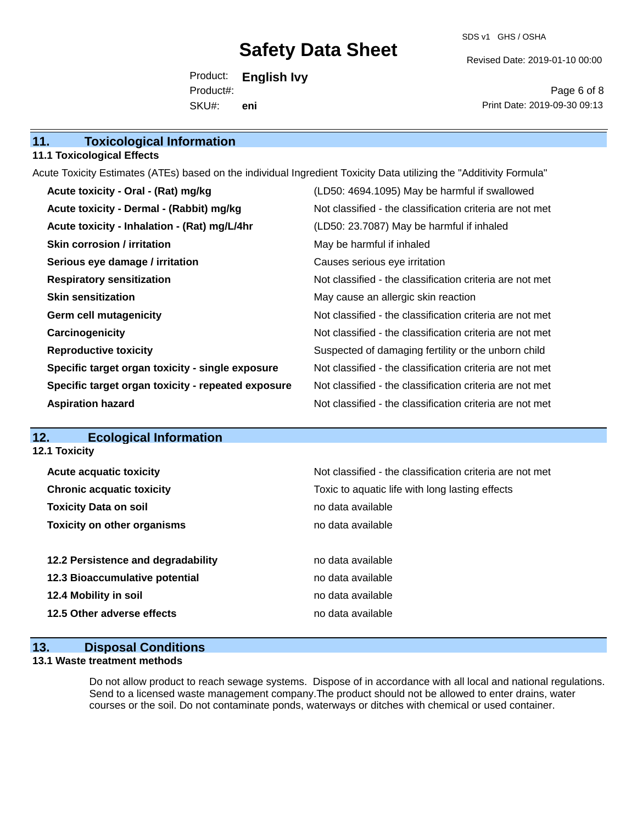SDS v1 GHS / OSHA

Revised Date: 2019-01-10 00:00

Product: **English Ivy** SKU#: Product#: **eni**

Page 6 of 8 Print Date: 2019-09-30 09:13

#### **11.1 Toxicological Effects**

Acute Toxicity Estimates (ATEs) based on the individual Ingredient Toxicity Data utilizing the "Additivity Formula"

| Acute toxicity - Oral - (Rat) mg/kg                | (LD50: 4694.1095) May be harmful if swallowed            |
|----------------------------------------------------|----------------------------------------------------------|
| Acute toxicity - Dermal - (Rabbit) mg/kg           | Not classified - the classification criteria are not met |
| Acute toxicity - Inhalation - (Rat) mg/L/4hr       | (LD50: 23.7087) May be harmful if inhaled                |
| <b>Skin corrosion / irritation</b>                 | May be harmful if inhaled                                |
| Serious eye damage / irritation                    | Causes serious eye irritation                            |
| <b>Respiratory sensitization</b>                   | Not classified - the classification criteria are not met |
| <b>Skin sensitization</b>                          | May cause an allergic skin reaction                      |
| <b>Germ cell mutagenicity</b>                      | Not classified - the classification criteria are not met |
| Carcinogenicity                                    | Not classified - the classification criteria are not met |
| <b>Reproductive toxicity</b>                       | Suspected of damaging fertility or the unborn child      |
| Specific target organ toxicity - single exposure   | Not classified - the classification criteria are not met |
| Specific target organ toxicity - repeated exposure | Not classified - the classification criteria are not met |
| <b>Aspiration hazard</b>                           | Not classified - the classification criteria are not met |

### **12. Ecological Information**

**12.1 Toxicity**

| <b>Acute acquatic toxicity</b>     | Not classified - the classification criteria are not met |
|------------------------------------|----------------------------------------------------------|
| <b>Chronic acquatic toxicity</b>   | Toxic to aquatic life with long lasting effects          |
| <b>Toxicity Data on soil</b>       | no data available                                        |
| <b>Toxicity on other organisms</b> | no data available                                        |
|                                    |                                                          |
| 12.2 Persistence and degradability | no data available                                        |
| 12.3 Bioaccumulative potential     | no data available                                        |
| 12.4 Mobility in soil              | no data available                                        |
| 12.5 Other adverse effects         | no data available                                        |
|                                    |                                                          |

#### **13. Disposal Conditions**

#### **13.1 Waste treatment methods**

Do not allow product to reach sewage systems. Dispose of in accordance with all local and national regulations. Send to a licensed waste management company.The product should not be allowed to enter drains, water courses or the soil. Do not contaminate ponds, waterways or ditches with chemical or used container.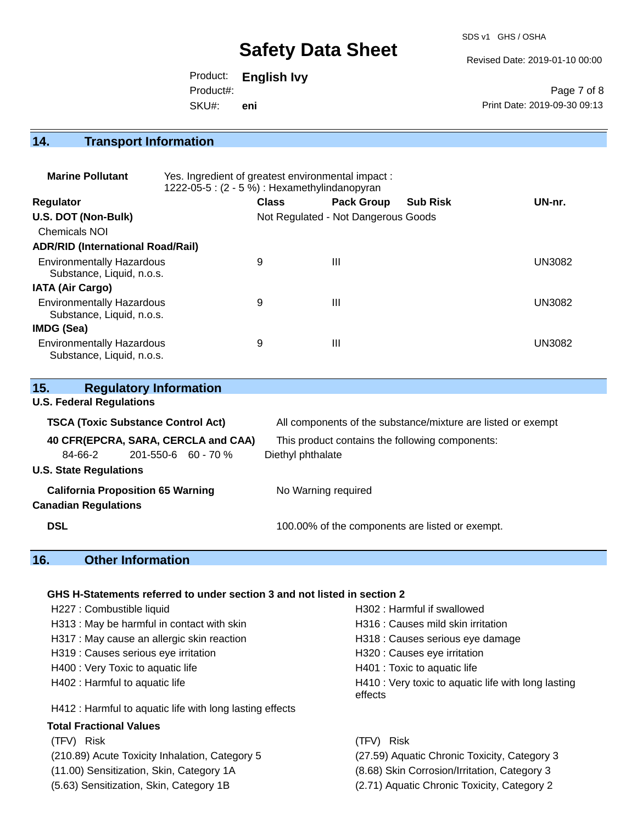SDS v1 GHS / OSHA

Revised Date: 2019-01-10 00:00

Product: **English Ivy** SKU#: Product#: **eni**

Page 7 of 8 Print Date: 2019-09-30 09:13

# **14. Transport Information**

| <b>Marine Pollutant</b>                                       | Yes. Ingredient of greatest environmental impact:<br>1222-05-5: (2 - 5 %) : Hexamethylindanopyran |              |                                     |                 |               |
|---------------------------------------------------------------|---------------------------------------------------------------------------------------------------|--------------|-------------------------------------|-----------------|---------------|
| <b>Regulator</b>                                              |                                                                                                   | <b>Class</b> | <b>Pack Group</b>                   | <b>Sub Risk</b> | UN-nr.        |
| U.S. DOT (Non-Bulk)                                           |                                                                                                   |              | Not Regulated - Not Dangerous Goods |                 |               |
| <b>Chemicals NOI</b>                                          |                                                                                                   |              |                                     |                 |               |
| <b>ADR/RID (International Road/Rail)</b>                      |                                                                                                   |              |                                     |                 |               |
| <b>Environmentally Hazardous</b><br>Substance, Liquid, n.o.s. |                                                                                                   | 9            | Ш                                   |                 | <b>UN3082</b> |
| <b>IATA (Air Cargo)</b>                                       |                                                                                                   |              |                                     |                 |               |
| <b>Environmentally Hazardous</b><br>Substance, Liquid, n.o.s. |                                                                                                   | 9            | Ш                                   |                 | <b>UN3082</b> |
| <b>IMDG (Sea)</b>                                             |                                                                                                   |              |                                     |                 |               |
| <b>Environmentally Hazardous</b><br>Substance, Liquid, n.o.s. |                                                                                                   | 9            | Ш                                   |                 | UN3082        |

| 15.                                      | <b>Regulatory Information</b>             |                                                              |
|------------------------------------------|-------------------------------------------|--------------------------------------------------------------|
| <b>U.S. Federal Regulations</b>          |                                           |                                                              |
|                                          | <b>TSCA (Toxic Substance Control Act)</b> | All components of the substance/mixture are listed or exempt |
|                                          | 40 CFR(EPCRA, SARA, CERCLA and CAA)       | This product contains the following components:              |
| 84-66-2                                  | $201 - 550 - 6$ 60 - 70 %                 | Diethyl phthalate                                            |
| <b>U.S. State Regulations</b>            |                                           |                                                              |
| <b>California Proposition 65 Warning</b> |                                           | No Warning required                                          |
| <b>Canadian Regulations</b>              |                                           |                                                              |
| <b>DSL</b>                               |                                           | 100.00% of the components are listed or exempt.              |

# **16. Other Information**

#### **GHS H-Statements referred to under section 3 and not listed in section 2**

| H227 : Combustible liquid                                | H302 : Harmful if swallowed                                    |
|----------------------------------------------------------|----------------------------------------------------------------|
| H313: May be harmful in contact with skin                | H316 : Causes mild skin irritation                             |
| H317 : May cause an allergic skin reaction               | H318 : Causes serious eye damage                               |
| H319 : Causes serious eye irritation                     | H320 : Causes eye irritation                                   |
| H400 : Very Toxic to aquatic life                        | H401 : Toxic to aquatic life                                   |
| H402 : Harmful to aquatic life                           | H410 : Very toxic to aquatic life with long lasting<br>effects |
| H412 : Harmful to aquatic life with long lasting effects |                                                                |
| <b>Total Fractional Values</b>                           |                                                                |
| (TFV) Risk                                               | (TFV) Risk                                                     |
| (210.89) Acute Toxicity Inhalation, Category 5           | (27.59) Aquatic Chronic Toxicity, Category 3                   |
| (11.00) Sensitization, Skin, Category 1A                 | (8.68) Skin Corrosion/Irritation, Category 3                   |
| (5.63) Sensitization, Skin, Category 1B                  | (2.71) Aquatic Chronic Toxicity, Category 2                    |